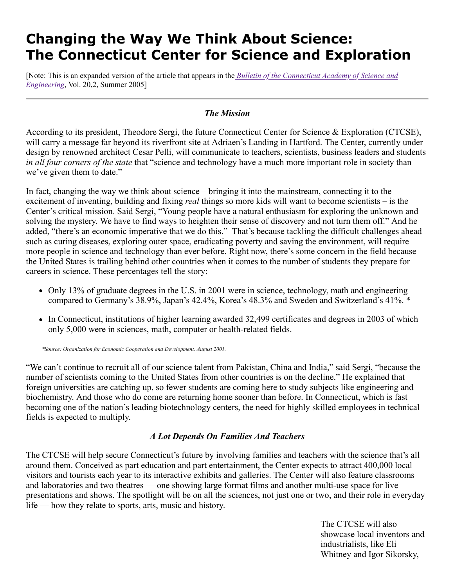# **Changing the Way We Think About Science: The Connecticut Center for Science and Exploration**

[\[Note: This is an expanded version of the article that appears in the](https://ctcase.org/bulletin/20_2.pdf) *Bulletin of the Connecticut Academy of Science and Engineering*, Vol. 20,2, Summer 2005]

## *The Mission*

According to its president, Theodore Sergi, the future Connecticut Center for Science & Exploration (CTCSE), will carry a message far beyond its riverfront site at Adriaen's Landing in Hartford. The Center, currently under design by renowned architect Cesar Pelli, will communicate to teachers, scientists, business leaders and students *in all four corners of the state* that "science and technology have a much more important role in society than we've given them to date."

In fact, changing the way we think about science – bringing it into the mainstream, connecting it to the excitement of inventing, building and fixing *real* things so more kids will want to become scientists – is the Center's critical mission. Said Sergi, "Young people have a natural enthusiasm for exploring the unknown and solving the mystery. We have to find ways to heighten their sense of discovery and not turn them off." And he added, "there's an economic imperative that we do this." That's because tackling the difficult challenges ahead such as curing diseases, exploring outer space, eradicating poverty and saving the environment, will require more people in science and technology than ever before. Right now, there's some concern in the field because the United States is trailing behind other countries when it comes to the number of students they prepare for careers in science. These percentages tell the story:

- Only 13% of graduate degrees in the U.S. in 2001 were in science, technology, math and engineering  $$ compared to Germany's 38.9%, Japan's 42.4%, Korea's 48.3% and Sweden and Switzerland's 41%. \*
- In Connecticut, institutions of higher learning awarded 32,499 certificates and degrees in 2003 of which only 5,000 were in sciences, math, computer or health-related fields.

 *\*Source: Organization for Economic Cooperation and Development. August 2001.*

"We can't continue to recruit all of our science talent from Pakistan, China and India," said Sergi, "because the number of scientists coming to the United States from other countries is on the decline." He explained that foreign universities are catching up, so fewer students are coming here to study subjects like engineering and biochemistry. And those who do come are returning home sooner than before. In Connecticut, which is fast becoming one of the nation's leading biotechnology centers, the need for highly skilled employees in technical fields is expected to multiply.

## *A Lot Depends On Families And Teachers*

The CTCSE will help secure Connecticut's future by involving families and teachers with the science that's all around them. Conceived as part education and part entertainment, the Center expects to attract 400,000 local visitors and tourists each year to its interactive exhibits and galleries. The Center will also feature classrooms and laboratories and two theatres — one showing large format films and another multi-use space for live presentations and shows. The spotlight will be on all the sciences, not just one or two, and their role in everyday life — how they relate to sports, arts, music and history.

> The CTCSE will also showcase local inventors and industrialists, like Eli Whitney and Igor Sikorsky,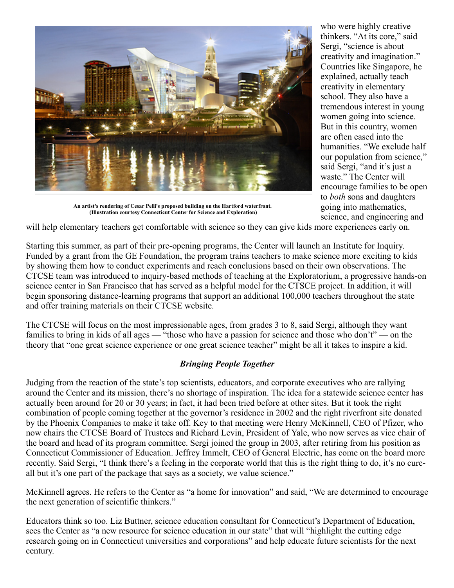

**An artist's rendering of Cesar Pelli's proposed building on the Hartford waterfront. (Illustration courtesy Connecticut Center for Science and Exploration)**

who were highly creative thinkers. "At its core," said Sergi, "science is about creativity and imagination." Countries like Singapore, he explained, actually teach creativity in elementary school. They also have a tremendous interest in young women going into science. But in this country, women are often eased into the humanities. "We exclude half our population from science," said Sergi, "and it's just a waste." The Center will encourage families to be open to *both* sons and daughters going into mathematics, science, and engineering and

will help elementary teachers get comfortable with science so they can give kids more experiences early on.

Starting this summer, as part of their pre-opening programs, the Center will launch an Institute for Inquiry. Funded by a grant from the GE Foundation, the program trains teachers to make science more exciting to kids by showing them how to conduct experiments and reach conclusions based on their own observations. The CTCSE team was introduced to inquiry-based methods of teaching at the Exploratorium, a progressive hands-on science center in San Francisco that has served as a helpful model for the CTSCE project. In addition, it will begin sponsoring distance-learning programs that support an additional 100,000 teachers throughout the state and offer training materials on their CTCSE website.

The CTCSE will focus on the most impressionable ages, from grades 3 to 8, said Sergi, although they want families to bring in kids of all ages — "those who have a passion for science and those who don't" — on the theory that "one great science experience or one great science teacher" might be all it takes to inspire a kid.

## *Bringing People Together*

Judging from the reaction of the state's top scientists, educators, and corporate executives who are rallying around the Center and its mission, there's no shortage of inspiration. The idea for a statewide science center has actually been around for 20 or 30 years; in fact, it had been tried before at other sites. But it took the right combination of people coming together at the governor's residence in 2002 and the right riverfront site donated by the Phoenix Companies to make it take off. Key to that meeting were Henry McKinnell, CEO of Pfizer, who now chairs the CTCSE Board of Trustees and Richard Levin, President of Yale, who now serves as vice chair of the board and head of its program committee. Sergi joined the group in 2003, after retiring from his position as Connecticut Commissioner of Education. Jeffrey Immelt, CEO of General Electric, has come on the board more recently. Said Sergi, "I think there's a feeling in the corporate world that this is the right thing to do, it's no cureall but it's one part of the package that says as a society, we value science."

McKinnell agrees. He refers to the Center as "a home for innovation" and said, "We are determined to encourage the next generation of scientific thinkers."

Educators think so too. Liz Buttner, science education consultant for Connecticut's Department of Education, sees the Center as "a new resource for science education in our state" that will "highlight the cutting edge research going on in Connecticut universities and corporations" and help educate future scientists for the next century.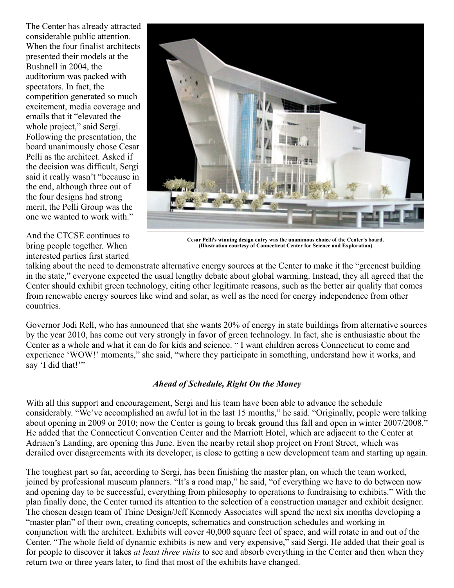The Center has already attracted considerable public attention. When the four finalist architects presented their models at the Bushnell in 2004, the auditorium was packed with spectators. In fact, the competition generated so much excitement, media coverage and emails that it "elevated the whole project," said Sergi. Following the presentation, the board unanimously chose Cesar Pelli as the architect. Asked if the decision was difficult, Sergi said it really wasn't "because in the end, although three out of the four designs had strong merit, the Pelli Group was the one we wanted to work with."

And the CTCSE continues to bring people together. When interested parties first started



**Cesar Pelli's winning design entry was the unanimous choice of the Center's board. (Illustration courtesy of Connecticut Center for Science and Exploration)**

talking about the need to demonstrate alternative energy sources at the Center to make it the "greenest building in the state," everyone expected the usual lengthy debate about global warming. Instead, they all agreed that the Center should exhibit green technology, citing other legitimate reasons, such as the better air quality that comes from renewable energy sources like wind and solar, as well as the need for energy independence from other countries.

Governor Jodi Rell, who has announced that she wants 20% of energy in state buildings from alternative sources by the year 2010, has come out very strongly in favor of green technology. In fact, she is enthusiastic about the Center as a whole and what it can do for kids and science. " I want children across Connecticut to come and experience 'WOW!' moments," she said, "where they participate in something, understand how it works, and say 'I did that!"

## *Ahead of Schedule, Right On the Money*

With all this support and encouragement, Sergi and his team have been able to advance the schedule considerably. "We've accomplished an awful lot in the last 15 months," he said. "Originally, people were talking about opening in 2009 or 2010; now the Center is going to break ground this fall and open in winter 2007/2008." He added that the Connecticut Convention Center and the Marriott Hotel, which are adjacent to the Center at Adriaen's Landing, are opening this June. Even the nearby retail shop project on Front Street, which was derailed over disagreements with its developer, is close to getting a new development team and starting up again.

The toughest part so far, according to Sergi, has been finishing the master plan, on which the team worked, joined by professional museum planners. "It's a road map," he said, "of everything we have to do between now and opening day to be successful, everything from philosophy to operations to fundraising to exhibits." With the plan finally done, the Center turned its attention to the selection of a construction manager and exhibit designer. The chosen design team of Thinc Design/Jeff Kennedy Associates will spend the next six months developing a "master plan" of their own, creating concepts, schematics and construction schedules and working in conjunction with the architect. Exhibits will cover 40,000 square feet of space, and will rotate in and out of the Center. "The whole field of dynamic exhibits is new and very expensive," said Sergi. He added that their goal is for people to discover it takes *at least three visits* to see and absorb everything in the Center and then when they return two or three years later, to find that most of the exhibits have changed.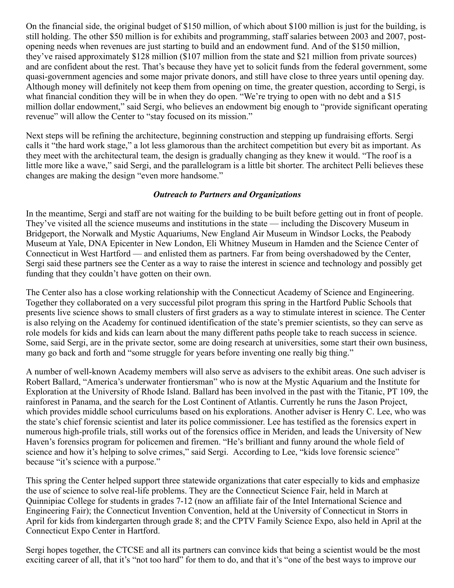On the financial side, the original budget of \$150 million, of which about \$100 million is just for the building, is still holding. The other \$50 million is for exhibits and programming, staff salaries between 2003 and 2007, postopening needs when revenues are just starting to build and an endowment fund. And of the \$150 million, they've raised approximately \$128 million (\$107 million from the state and \$21 million from private sources) and are confident about the rest. That's because they have yet to solicit funds from the federal government, some quasi-government agencies and some major private donors, and still have close to three years until opening day. Although money will definitely not keep them from opening on time, the greater question, according to Sergi, is what financial condition they will be in when they do open. "We're trying to open with no debt and a \$15 million dollar endowment," said Sergi, who believes an endowment big enough to "provide significant operating revenue" will allow the Center to "stay focused on its mission."

Next steps will be refining the architecture, beginning construction and stepping up fundraising efforts. Sergi calls it "the hard work stage," a lot less glamorous than the architect competition but every bit as important. As they meet with the architectural team, the design is gradually changing as they knew it would. "The roof is a little more like a wave," said Sergi, and the parallelogram is a little bit shorter. The architect Pelli believes these changes are making the design "even more handsome."

#### *Outreach to Partners and Organizations*

In the meantime, Sergi and staff are not waiting for the building to be built before getting out in front of people. They've visited all the science museums and institutions in the state — including the Discovery Museum in Bridgeport, the Norwalk and Mystic Aquariums, New England Air Museum in Windsor Locks, the Peabody Museum at Yale, DNA Epicenter in New London, Eli Whitney Museum in Hamden and the Science Center of Connecticut in West Hartford — and enlisted them as partners. Far from being overshadowed by the Center, Sergi said these partners see the Center as a way to raise the interest in science and technology and possibly get funding that they couldn't have gotten on their own.

The Center also has a close working relationship with the Connecticut Academy of Science and Engineering. Together they collaborated on a very successful pilot program this spring in the Hartford Public Schools that presents live science shows to small clusters of first graders as a way to stimulate interest in science. The Center is also relying on the Academy for continued identification of the state's premier scientists, so they can serve as role models for kids and kids can learn about the many different paths people take to reach success in science. Some, said Sergi, are in the private sector, some are doing research at universities, some start their own business, many go back and forth and "some struggle for years before inventing one really big thing."

A number of well-known Academy members will also serve as advisers to the exhibit areas. One such adviser is Robert Ballard, "America's underwater frontiersman" who is now at the Mystic Aquarium and the Institute for Exploration at the University of Rhode Island. Ballard has been involved in the past with the Titanic, PT 109, the rainforest in Panama, and the search for the Lost Continent of Atlantis. Currently he runs the Jason Project, which provides middle school curriculums based on his explorations. Another adviser is Henry C. Lee, who was the state's chief forensic scientist and later its police commissioner. Lee has testified as the forensics expert in numerous high-profile trials, still works out of the forensics office in Meriden, and leads the University of New Haven's forensics program for policemen and firemen. "He's brilliant and funny around the whole field of science and how it's helping to solve crimes," said Sergi. According to Lee, "kids love forensic science" because "it's science with a purpose."

This spring the Center helped support three statewide organizations that cater especially to kids and emphasize the use of science to solve real-life problems. They are the Connecticut Science Fair, held in March at Quinnipiac College for students in grades 7-12 (now an affiliate fair of the Intel International Science and Engineering Fair); the Connecticut Invention Convention, held at the University of Connecticut in Storrs in April for kids from kindergarten through grade 8; and the CPTV Family Science Expo, also held in April at the Connecticut Expo Center in Hartford.

Sergi hopes together, the CTCSE and all its partners can convince kids that being a scientist would be the most exciting career of all, that it's "not too hard" for them to do, and that it's "one of the best ways to improve our